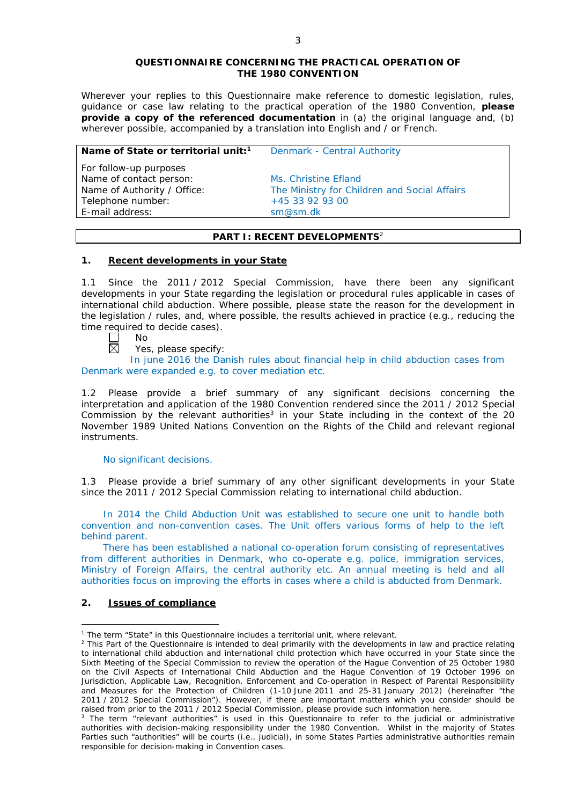#### **QUESTIONNAIRE CONCERNING THE PRACTICAL OPERATION OF THE 1980 CONVENTION**

*Wherever your replies to this Questionnaire make reference to domestic legislation, rules, guidance or case law relating to the practical operation of the 1980 Convention, please provide a copy of the referenced documentation in (a) the original language and, (b) wherever possible, accompanied by a translation into English and / or French.* 

| Name of State or territorial unit: <sup>1</sup> | Denmark - Central Authority                  |
|-------------------------------------------------|----------------------------------------------|
| For follow-up purposes                          |                                              |
| Name of contact person:                         | Ms. Christine Efland                         |
| Name of Authority / Office:                     | The Ministry for Children and Social Affairs |
| Telephone number:                               | +45 33 92 93 00                              |
| E-mail address:                                 | sm@sm.dk                                     |
|                                                 |                                              |

# **PART I: RECENT DEVELOPMENTS**<sup>2</sup>

### **1. Recent developments in your State**

1.1 Since the 2011 / 2012 Special Commission, have there been any significant developments in your State regarding the legislation or procedural rules applicable in cases of international child abduction. Where possible, please state the reason for the development in the legislation / rules, and, where possible, the results achieved in practice (*e.g.*, reducing the time required to decide cases).

- No 岗
	- Yes, please specify:

In june 2016 the Danish rules about financial help in child abduction cases from Denmark were expanded e.g. to cover mediation etc.

1.2 Please provide a brief summary of any significant decisions concerning the interpretation and application of the 1980 Convention rendered since the 2011 / 2012 Special Commission by the relevant authorities<sup>3</sup> in your State including in the context of the 20 November 1989 United Nations Convention on the Rights of the Child and relevant regional instruments.

#### No significant decisions.

1.3 Please provide a brief summary of any other significant developments in your State since the 2011 / 2012 Special Commission relating to international child abduction.

In 2014 the Child Abduction Unit was established to secure one unit to handle both convention and non-convention cases. The Unit offers various forms of help to the left behind parent.

There has been established a national co-operation forum consisting of representatives from different authorities in Denmark, who co-operate e.g. police, immigration services, Ministry of Foreign Affairs, the central authority etc. An annual meeting is held and all authorities focus on improving the efforts in cases where a child is abducted from Denmark.

# **2. Issues of compliance**

<u>.</u>

<sup>&</sup>lt;sup>1</sup> The term "State" in this Questionnaire includes a territorial unit, where relevant.

 $<sup>2</sup>$  This Part of the Questionnaire is intended to deal primarily with the developments in law and practice relating</sup> to international child abduction and international child protection which have occurred in your State since the Sixth Meeting of the Special Commission to review the operation of the *Hague Convention of 25 October 1980 on the Civil Aspects of International Child Abduction* and the *Hague Convention of 19 October 1996 on Jurisdiction, Applicable Law, Recognition, Enforcement and Co-operation in Respect of Parental Responsibility and Measures for the Protection of Children* (1-10 June 2011 and 25-31 January 2012) (hereinafter "the 2011 / 2012 Special Commission"). However, if there are important matters which you consider should be raised from *prior to* the 2011 / 2012 Special Commission, please provide such information here.

<sup>&</sup>lt;sup>3</sup> The term "relevant authorities" is used in this Questionnaire to refer to the judicial or administrative authorities with decision-making responsibility under the 1980 Convention. Whilst in the majority of States Parties such "authorities" will be courts (*i.e.*, judicial), in some States Parties administrative authorities remain responsible for decision-making in Convention cases.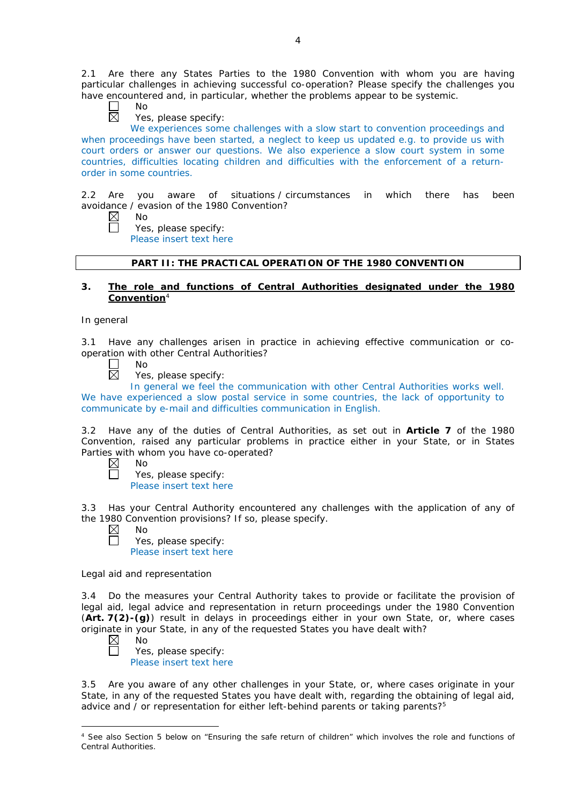2.1 Are there any States Parties to the 1980 Convention with whom you are having particular challenges in achieving successful co-operation? Please specify the challenges you have encountered and, in particular, whether the problems appear to be systemic.

No 岗

Yes, please specify:

We experiences some challenges with a slow start to convention proceedings and when proceedings have been started, a neglect to keep us updated e.g. to provide us with court orders or answer our questions. We also experience a slow court system in some countries, difficulties locating children and difficulties with the enforcement of a returnorder in some countries.

2.2 Are you aware of situations / circumstances in which there has been avoidance / evasion of the 1980 Convention?

 $\boxtimes$ No

П

Yes, please specify:

Please insert text here

# **PART II: THE PRACTICAL OPERATION OF THE 1980 CONVENTION**

## **3. The role and functions of Central Authorities designated under the 1980 Convention**<sup>4</sup>

### *In general*

3.1 Have any challenges arisen in practice in achieving effective communication or cooperation with other Central Authorities?

- $\Box$ No 岗
	- Yes, please specify:

In general we feel the communication with other Central Authorities works well. We have experienced a slow postal service in some countries, the lack of opportunity to communicate by e-mail and difficulties communication in English.

3.2 Have any of the duties of Central Authorities, as set out in **Article 7** of the 1980 Convention, raised any particular problems in practice either in your State, or in States Parties with whom you have co-operated?

 $\boxtimes$ No  $\Box$ 

Yes, please specify: Please insert text here

3.3 Has your Central Authority encountered any challenges with the application of any of the 1980 Convention provisions? If so, please specify.

| $\boxtimes$ | N٥                      |
|-------------|-------------------------|
| $\Box$      | Yes, please specify:    |
|             | Please insert text here |

*Legal aid and representation*

3.4 Do the measures your Central Authority takes to provide or facilitate the provision of legal aid, legal advice and representation in return proceedings under the 1980 Convention (**Art. 7(2)-(g)**) result in delays in proceedings either in your own State, or, where cases originate in your State, in any of the requested States you have dealt with?

 $\boxtimes$ No

Yes, please specify: Please insert text here

3.5 Are you aware of any other challenges in your State, or, where cases originate in your State, in any of the requested States you have dealt with, regarding the obtaining of legal aid, advice and  $\overline{\prime}$  or representation for either left-behind parents or taking parents?<sup>5</sup>

<sup>-</sup><sup>4</sup> See also Section 5 below on "Ensuring the safe return of children" which involves the role and functions of Central Authorities.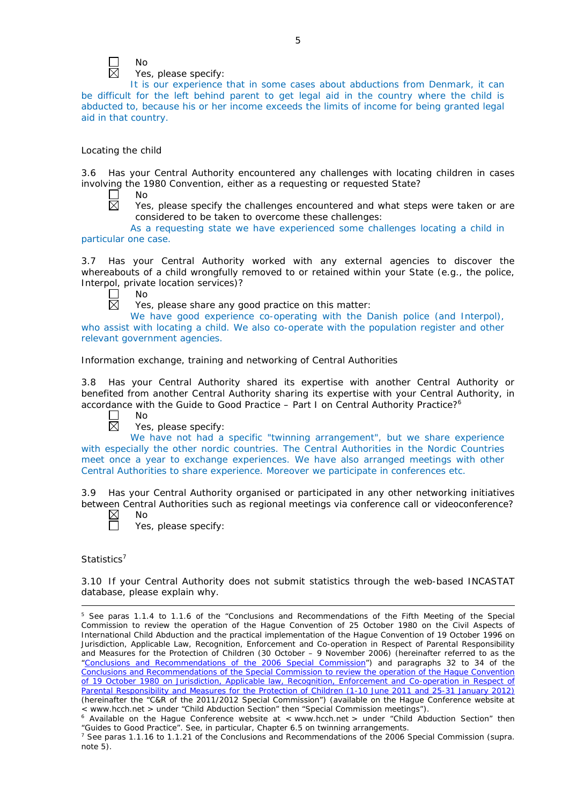

No

Yes, please specify:

It is our experience that in some cases about abductions from Denmark, it can be difficult for the left behind parent to get legal aid in the country where the child is abducted to, because his or her income exceeds the limits of income for being granted legal aid in that country.

### *Locating the child*

3.6 Has your Central Authority encountered any challenges with locating children in cases involving the 1980 Convention, either as a requesting or requested State?

 $\Box$  $\overline{\boxtimes}$  No

Yes, please specify the challenges encountered and what steps were taken or are considered to be taken to overcome these challenges:

As a requesting state we have experienced some challenges locating a child in particular one case.

3.7 Has your Central Authority worked with any external agencies to discover the whereabouts of a child wrongfully removed to or retained within your State (*e.g.*, the police, Interpol, private location services)?

No 反

Yes, please share any good practice on this matter:

We have good experience co-operating with the Danish police (and Interpol), who assist with locating a child. We also co-operate with the population register and other relevant government agencies.

# *Information exchange, training and networking of Central Authorities*

3.8 Has your Central Authority shared its expertise with another Central Authority or benefited from another Central Authority sharing its expertise with your Central Authority, in accordance with the Guide to Good Practice – Part I on Central Authority Practice?6



No

Yes, please specify:

We have not had a specific "twinning arrangement", but we share experience with especially the other nordic countries. The Central Authorities in the Nordic Countries meet once a year to exchange experiences. We have also arranged meetings with other Central Authorities to share experience. Moreover we participate in conferences etc.

3.9 Has your Central Authority organised or participated in any other networking initiatives between Central Authorities such as regional meetings via conference call or videoconference?

| N٥ |
|----|
| í  |

Yes, please specify:

*Statistics*<sup>7</sup>

<u>.</u>

3.10 If your Central Authority does not submit statistics through the web-based INCASTAT database, please explain why.

<sup>5</sup> See paras 1.1.4 to 1.1.6 of the "Conclusions and Recommendations of the Fifth Meeting of the Special Commission to review the operation of the *Hague Convention of 25 October 1980 on the Civil Aspects of International Child Abduction* and the practical implementation of the *Hague Convention of 19 October 1996 on Jurisdiction, Applicable Law, Recognition, Enforcement and Co-operation in Respect of Parental Responsibility and Measures for the Protection of Children* (30 October – 9 November 2006) (hereinafter referred to as the ["Conclusions and Recommendations of the 2006 Special Commission"](https://assets.hcch.net/upload/concl28sc5_e.pdf)) and paragraphs 32 to 34 of the [Conclusions and Recommendations of the Special Commission](https://assets.hcch.net/upload/wop/concl28sc6_e.pdf) to review the operation of the Hague Convention of *[19 October 1980 on Jurisdiction, Applicable law, Recognition, Enforcement and Co-operation in Respect of](https://assets.hcch.net/upload/wop/concl28sc6_e.pdf)  [Parental Responsibility and Measures for the Protection of Children](https://assets.hcch.net/upload/wop/concl28sc6_e.pdf)* (1-10 June 2011 and 25-31 January 2012) (hereinafter the "C&R of the 2011/2012 Special Commission") (available on the Hague Conference website at < www.hcch.net > under "Child Abduction Section" then "Special Commission meetings").

 $6$  Available on the Haque Conference website at < www.hcch.net > under "Child Abduction Section" then "Guides to Good Practice". See, in particular, Chapter 6.5 on twinning arrangements.

<sup>7</sup> See paras 1.1.16 to 1.1.21 of the Conclusions and Recommendations of the 2006 Special Commission (*supra.*  note 5).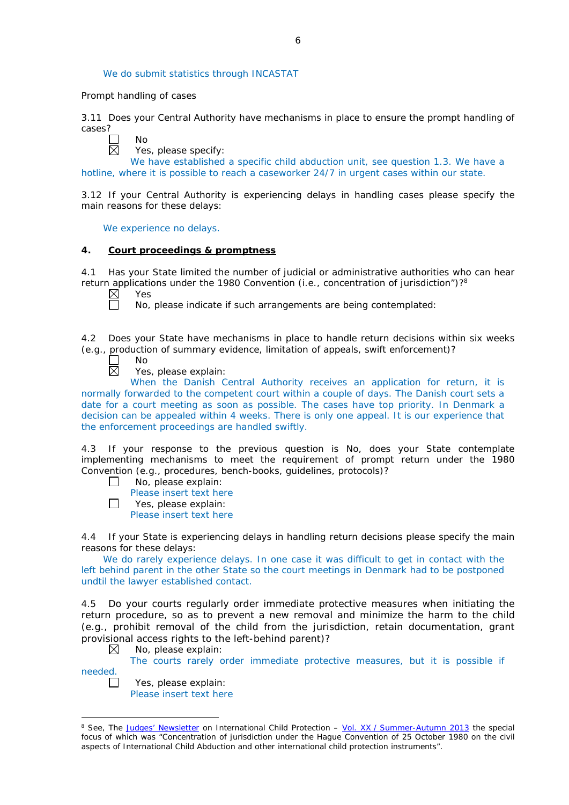We do submit statistics through INCASTAT

#### *Prompt handling of cases*

 $N<sub>0</sub>$ 

3.11 Does your Central Authority have mechanisms in place to ensure the prompt handling of cases?



Yes, please specify:

We have established a specific child abduction unit, see question 1.3. We have a hotline, where it is possible to reach a caseworker 24/7 in urgent cases within our state.

3.12 If your Central Authority is experiencing delays in handling cases please specify the main reasons for these delays:

We experience no delays.

## **4. Court proceedings & promptness**

4.1 Has your State limited the number of judicial or administrative authorities who can hear return applications under the 1980 Convention (*i.e.*, concentration of jurisdiction")?8

Yes

No, please indicate if such arrangements are being contemplated:

4.2 Does your State have mechanisms in place to handle return decisions within six weeks (*e.g.*, production of summary evidence, limitation of appeals, swift enforcement)?

No  $\overline{\boxtimes}$ 

Yes, please explain:

When the Danish Central Authority receives an application for return, it is normally forwarded to the competent court within a couple of days. The Danish court sets a date for a court meeting as soon as possible. The cases have top priority. In Denmark a decision can be appealed within 4 weeks. There is only one appeal. It is our experience that the enforcement proceedings are handled swiftly.

4.3 If your response to the previous question is No, does your State contemplate implementing mechanisms to meet the requirement of prompt return under the 1980 Convention (*e.g.*, procedures, bench-books, guidelines, protocols)?

- No, please explain:  $\Box$ 
	- Please insert text here
- $\Box$ Yes, please explain:

Please insert text here

4.4 If your State is experiencing delays in handling return decisions please specify the main reasons for these delays:

We do rarely experience delays. In one case it was difficult to get in contact with the left behind parent in the other State so the court meetings in Denmark had to be postponed undtil the lawyer established contact.

4.5 Do your courts regularly order immediate protective measures when initiating the return procedure, so as to prevent a new removal and minimize the harm to the child (*e.g.*, prohibit removal of the child from the jurisdiction, retain documentation, grant provisional access rights to the left-behind parent)?

 $\boxtimes$ No, please explain:

The courts rarely order immediate protective measures, but it is possible if

needed.

 $\Box$ 

-

Yes, please explain: Please insert text here

<sup>8</sup> See, *The [Judges' Newsletter](https://www.hcch.net/en/instruments/conventions/publications2/judges-newsletter)* on International Child Protection – Vol. XX / [Summer-Autumn 2013](https://assets.hcch.net/upload/newsletter/nl2013tome20en.pdf) the special focus of which was "Concentration of jurisdiction under the *Hague Convention of 25 October 1980 on the civil aspects of International Child Abduction* and other international child protection instruments".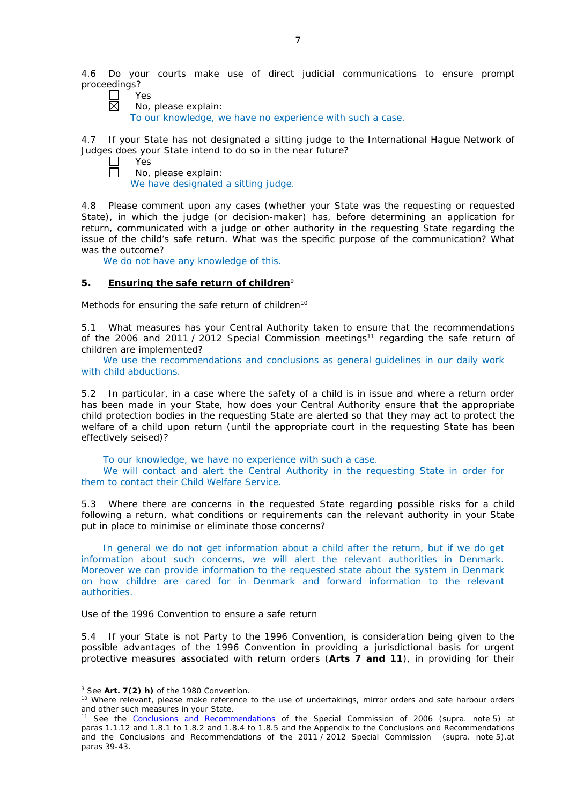4.6 Do your courts make use of direct judicial communications to ensure prompt proceedings?<br> $\neg$ 

- Yes 岗
	- No, please explain:

To our knowledge, we have no experience with such a case.

4.7 If your State has not designated a sitting judge to the International Hague Network of Judges does your State intend to do so in the near future? Yes



No, please explain:

We have designated a sitting judge.

4.8 Please comment upon any cases (whether your State was the requesting or requested State), in which the judge (or decision-maker) has, before determining an application for return, communicated with a judge or other authority in the requesting State regarding the issue of the child's safe return. What was the specific purpose of the communication? What was the outcome?

We do not have any knowledge of this.

# **5. Ensuring the safe return of children**<sup>9</sup>

*Methods for ensuring the safe return of children*<sup>10</sup>

5.1 What measures has your Central Authority taken to ensure that the recommendations of the 2006 and 2011 / 2012 Special Commission meetings<sup>11</sup> regarding the safe return of children are implemented?

We use the recommendations and conclusions as general guidelines in our daily work with child abductions.

5.2 In particular, in a case where the safety of a child is in issue and where a return order has been made in your State, how does your Central Authority ensure that the appropriate child protection bodies in the *requesting* State are alerted so that they may act to protect the welfare of a child upon return (until the appropriate court in the requesting State has been effectively seised)?

To our knowledge, we have no experience with such a case. We will contact and alert the Central Authority in the requesting State in order for them to contact their Child Welfare Service.

5.3 Where there are concerns in the requested State regarding possible risks for a child following a return, what conditions or requirements can the relevant authority in your State put in place to minimise or eliminate those concerns?

In general we do not get information about a child after the return, but if we do get information about such concerns, we will alert the relevant authorities in Denmark. Moreover we can provide information to the requested state about the system in Denmark on how childre are cared for in Denmark and forward information to the relevant authorities.

## *Use of the 1996 Convention to ensure a safe return*

5.4 If your State is not Party to the 1996 Convention, is consideration being given to the possible advantages of the 1996 Convention in providing a jurisdictional basis for urgent protective measures associated with return orders (**Arts 7 and 11**), in providing for their

<u>.</u>

<sup>9</sup> See **Art. 7(2)** *h)* of the 1980 Convention.

<sup>&</sup>lt;sup>10</sup> Where relevant, please make reference to the use of undertakings, mirror orders and safe harbour orders and other such measures in your State.

<sup>11</sup> See the [Conclusions and Recommendations](https://assets.hcch.net/upload/concl28sc5_e.pdf) of the Special Commission of 2006 (*supra.* note 5) at paras 1.1.12 and 1.8.1 to 1.8.2 and 1.8.4 to 1.8.5 and the Appendix to the Conclusions and Recommendations and the [Conclusions and Recommendations of the 2011](https://assets.hcch.net/upload/wop/concl28sc6_e.pdf) / 2012 Special Commission (*supra.* note 5).at paras 39-43.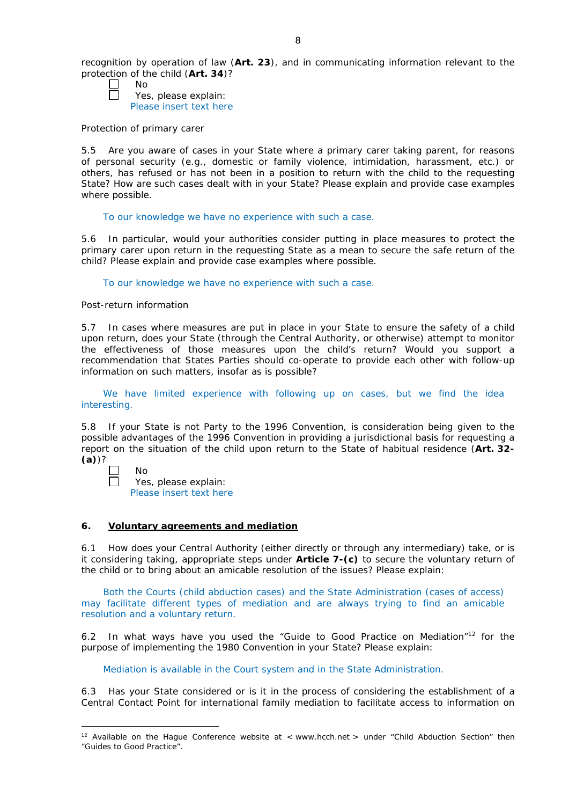- П No
	- Yes, please explain: Please insert text here

### *Protection of primary carer*

5.5 Are you aware of cases in your State where a primary carer taking parent, for reasons of personal security (*e.g.*, domestic or family violence, intimidation, harassment, etc.) or others, has refused or has not been in a position to return with the child to the requesting State? How are such cases dealt with in your State? Please explain and provide case examples where possible.

To our knowledge we have no experience with such a case.

5.6 In particular, would your authorities consider putting in place measures to protect the primary carer upon return in the requesting State as a mean to secure the safe return of the child? Please explain and provide case examples where possible.

To our knowledge we have no experience with such a case.

### *Post-return information*

5.7 In cases where measures are put in place in your State to ensure the safety of a child upon return, does your State (through the Central Authority, or otherwise) attempt to monitor the effectiveness of those measures upon the child's return? Would you support a recommendation that States Parties should co-operate to provide each other with follow-up information on such matters, insofar as is possible?

We have limited experience with following up on cases, but we find the idea interesting.

5.8 If your State is not Party to the 1996 Convention, is consideration being given to the possible advantages of the 1996 Convention in providing a jurisdictional basis for requesting a report on the situation of the child upon return to the State of habitual residence (**Art. 32- (a)**)?

| חוח |
|-----|
|     |

s, please explain: Please insert text here

## **6. Voluntary agreements and mediation**

6.1 How does your Central Authority (either directly or through any intermediary) take, or is it considering taking, appropriate steps under **Article 7-(c)** to secure the voluntary return of the child or to bring about an amicable resolution of the issues? Please explain:

Both the Courts (child abduction cases) and the State Administration (cases of access) may facilitate different types of mediation and are always trying to find an amicable resolution and a voluntary return.

6.2 In what ways have you used the "Guide to Good Practice on Mediation"12 for the purpose of implementing the 1980 Convention in your State? Please explain:

Mediation is available in the Court system and in the State Administration.

6.3 Has your State considered or is it in the process of considering the establishment of a Central Contact Point for international family mediation to facilitate access to information on

<sup>-</sup><sup>12</sup> Available on the Hague Conference website at < www.hcch.net > under "Child Abduction Section" then "Guides to Good Practice".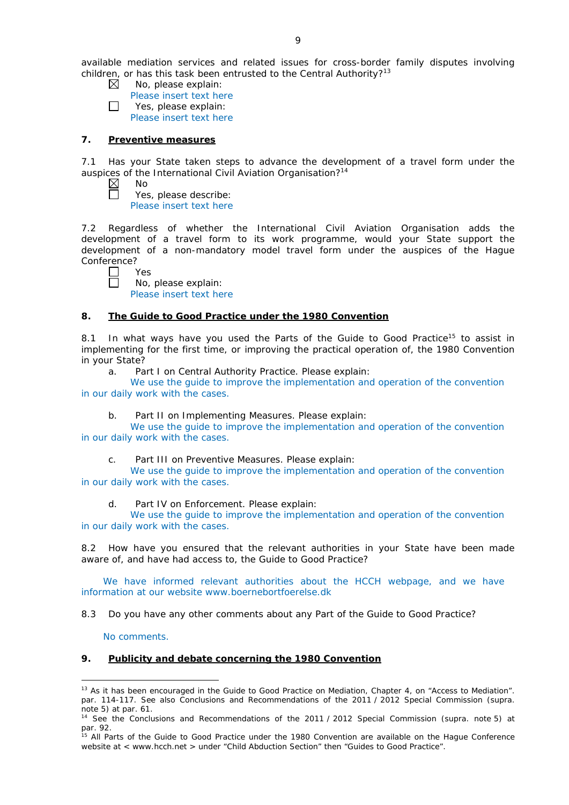available mediation services and related issues for cross-border family disputes involving children, or has this task been entrusted to the Central Authority?<sup>13</sup>

- No, please explain:  $\boxtimes$
- Please insert text here П Yes, please explain:
	- Please insert text here

### **7. Preventive measures**

7.1 Has your State taken steps to advance the development of a travel form under the auspices of the International Civil Aviation Organisation?<sup>14</sup>

 $\boxtimes$ No Π

Yes, please describe: Please insert text here

7.2 Regardless of whether the International Civil Aviation Organisation adds the development of a travel form to its work programme, would your State support the development of a non-mandatory model travel form under the auspices of the Hague Conference?

Yes  $\Box$ 

No, please explain: Please insert text here

### **8. The Guide to Good Practice under the 1980 Convention**

8.1 In what ways have you used the Parts of the Guide to Good Practice<sup>15</sup> to assist in implementing for the first time, or improving the practical operation of, the 1980 Convention in your State?

a. Part I on Central Authority Practice. Please explain:

We use the guide to improve the implementation and operation of the convention in our daily work with the cases.

b. Part II on Implementing Measures. Please explain:

We use the guide to improve the implementation and operation of the convention in our daily work with the cases.

c. Part III on Preventive Measures. Please explain:

We use the guide to improve the implementation and operation of the convention in our daily work with the cases.

d. Part IV on Enforcement. Please explain:

We use the guide to improve the implementation and operation of the convention in our daily work with the cases.

8.2 How have you ensured that the relevant authorities in your State have been made aware of, and have had access to, the Guide to Good Practice?

We have informed relevant authorities about the HCCH webpage, and we have information at our website www.boernebortfoerelse.dk

8.3 Do you have any other comments about any Part of the Guide to Good Practice?

No comments.

## **9. Publicity and debate concerning the 1980 Convention**

<sup>&</sup>lt;u>.</u> <sup>13</sup> As it has been encouraged in the Guide to Good Practice on Mediation, Chapter 4, on "Access to Mediation". par. 114-117. See also [Conclusions and Recommendations of the 2011](https://assets.hcch.net/upload/wop/concl28sc6_e.pdf) / 2012 Special Commission (*supra.* .<br>note 5) at par. 61.

<sup>14</sup> See the [Conclusions and Recommendations of the 2011](https://assets.hcch.net/upload/wop/concl28sc6_e.pdf) / 2012 Special Commission (*supra.* note 5) at par. 92.

<sup>&</sup>lt;sup>15</sup> All Parts of the Guide to Good Practice under the 1980 Convention are available on the Hague Conference website at < www.hcch.net > under "Child Abduction Section" then "Guides to Good Practice".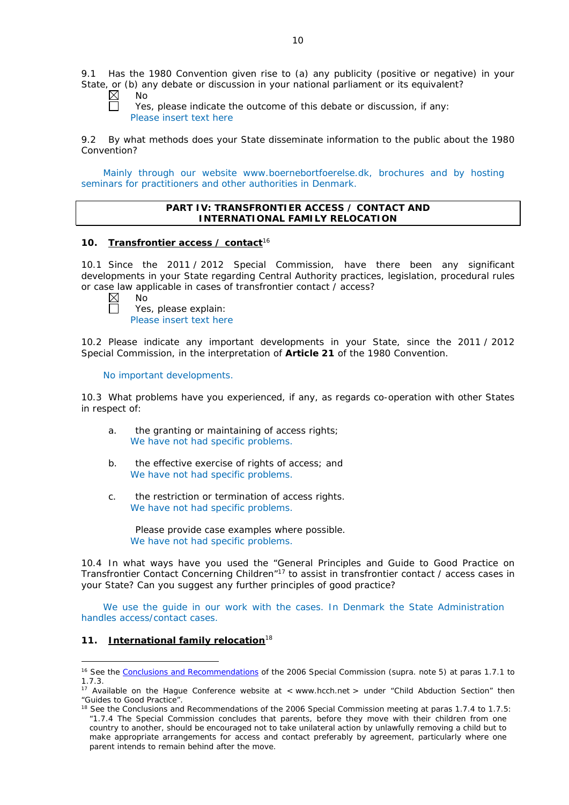9.1 Has the 1980 Convention given rise to (a) any publicity (positive or negative) in your State, or (b) any debate or discussion in your national parliament or its equivalent?

No

Yes, please indicate the outcome of this debate or discussion, if any: Please insert text here

9.2 By what methods does your State disseminate information to the public about the 1980 Convention?

Mainly through our website www.boernebortfoerelse.dk, brochures and by hosting seminars for practitioners and other authorities in Denmark.

## **PART IV: TRANSFRONTIER ACCESS / CONTACT AND INTERNATIONAL FAMILY RELOCATION**

## **10. Transfrontier access / contact**<sup>16</sup>

10.1 Since the 2011 / 2012 Special Commission, have there been any significant developments in your State regarding Central Authority practices, legislation, procedural rules or case law applicable in cases of transfrontier contact / access?

No Yes, please explain: Please insert text here

10.2 Please indicate any important developments in your State, since the 2011 / 2012 Special Commission, in the interpretation of **Article 21** of the 1980 Convention.

No important developments.

10.3 What problems have you experienced, if any, as regards co-operation with other States in respect of:

- a. the granting or maintaining of access rights; We have not had specific problems.
- b. the effective exercise of rights of access; and We have not had specific problems.
- c. the restriction or termination of access rights. We have not had specific problems.

Please provide case examples where possible. We have not had specific problems.

10.4 In what ways have you used the "General Principles and Guide to Good Practice on Transfrontier Contact Concerning Children"17 to assist in transfrontier contact / access cases in your State? Can you suggest any further principles of good practice?

We use the guide in our work with the cases. In Denmark the State Administration handles access/contact cases.

## **11. International family relocation**<sup>18</sup>

<u>.</u>

<sup>16</sup> See the [Conclusions and Recommendations](https://assets.hcch.net/upload/concl28sc5_e.pdf) of the 2006 Special Commission (*supra.* note 5) at paras 1.7.1 to 1.7.3.

<sup>&</sup>lt;sup>17</sup> Available on the Hague Conference website at < www.hcch.net > under "Child Abduction Section" then "Guides to Good Practice".

<sup>&</sup>lt;sup>18</sup> See the Conclusions and Recommendations of the 2006 Special Commission meeting at paras 1.7.4 to 1.7.5: *"*1.7.4 The Special Commission concludes that parents, before they move with their children from one country to another, should be encouraged not to take unilateral action by unlawfully removing a child but to make appropriate arrangements for access and contact preferably by agreement, particularly where one parent intends to remain behind after the move.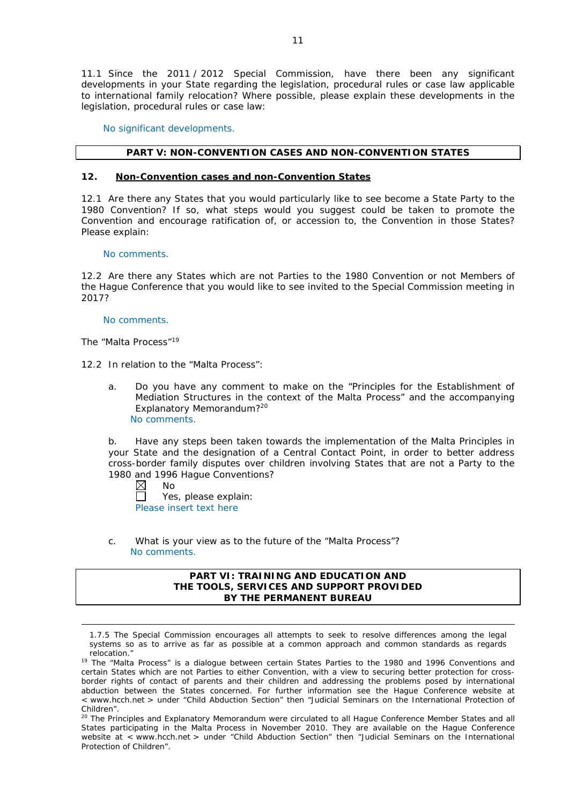11.1 Since the 2011 / 2012 Special Commission, have there been any significant developments in your State regarding the legislation, procedural rules or case law applicable to international family relocation? Where possible, please explain these developments in the legislation, procedural rules or case law:

No significant developments.

### **PART V: NON-CONVENTION CASES AND NON-CONVENTION STATES**

#### **12. Non-Convention cases and non-Convention States**

12.1 Are there any States that you would particularly like to see become a State Party to the 1980 Convention? If so, what steps would you suggest could be taken to promote the Convention and encourage ratification of, or accession to, the Convention in those States? Please explain:

#### No comments.

12.2 Are there any States which are not Parties to the 1980 Convention or not Members of the Hague Conference that you would like to see invited to the Special Commission meeting in 2017?

### No comments.

*The "Malta Process"*<sup>19</sup>

<u>.</u>

12.2 In relation to the "Malta Process":

a. Do you have any comment to make on the "Principles for the Establishment of Mediation Structures in the context of the Malta Process" and the accompanying Explanatory Memorandum?20 No comments.

b. Have any steps been taken towards the implementation of the Malta Principles in your State and the designation of a Central Contact Point, in order to better address cross-border family disputes over children involving States that are not a Party to the 1980 and 1996 Hague Conventions?

 $\boxtimes$ No

 $\Box$ Yes, please explain: Please insert text here

c. What is your view as to the future of the "Malta Process"? No comments.

### **PART VI: TRAINING AND EDUCATION AND THE TOOLS, SERVICES AND SUPPORT PROVIDED BY THE PERMANENT BUREAU**

1.7.5 The Special Commission encourages all attempts to seek to resolve differences among the legal systems so as to arrive as far as possible at a common approach and common standards as regards relocation."

<sup>&</sup>lt;sup>19</sup> The "Malta Process" is a dialogue between certain States Parties to the 1980 and 1996 Conventions and certain States which are not Parties to either Convention, with a view to securing better protection for crossborder rights of contact of parents and their children and addressing the problems posed by international abduction between the States concerned. For further information see the Hague Conference website at < www.hcch.net > under "Child Abduction Section" then "Judicial Seminars on the International Protection of Children".

<sup>20</sup> The Principles and Explanatory Memorandum were circulated to all Hague Conference Member States and all States participating in the Malta Process in November 2010. They are available on the Hague Conference website at < www.hcch.net > under "Child Abduction Section" then "Judicial Seminars on the International Protection of Children".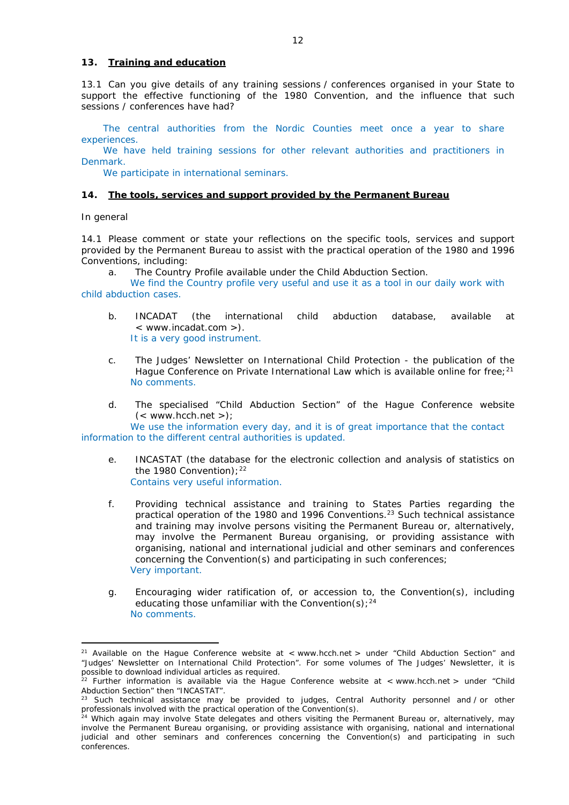### **13. Training and education**

13.1 Can you give details of any training sessions / conferences organised in your State to support the effective functioning of the 1980 Convention, and the influence that such sessions / conferences have had?

The central authorities from the Nordic Counties meet once a year to share experiences.

We have held training sessions for other relevant authorities and practitioners in Denmark.

We participate in international seminars.

#### **14. The tools, services and support provided by the Permanent Bureau**

#### *In general*

<u>.</u>

14.1 Please comment or state your reflections on the specific tools, services and support provided by the Permanent Bureau to assist with the practical operation of the 1980 and 1996 Conventions, including:

a. The Country Profile available under the Child Abduction Section.

We find the Country profile very useful and use it as a tool in our daily work with child abduction cases.

- b. INCADAT (the international child abduction database, available at < www.incadat.com >). It is a very good instrument.
- c. *The Judges' Newsletter* on International Child Protection the publication of the Hague Conference on Private International Law which is available online for free;  $21$ No comments.
- d. The specialised "Child Abduction Section" of the Hague Conference website  $(<$  www.hcch.net >);

We use the information every day, and it is of great importance that the contact information to the different central authorities is updated.

- e. INCASTAT (the database for the electronic collection and analysis of statistics on the 1980 Convention):  $22$ Contains very useful information.
- f. Providing technical assistance and training to States Parties regarding the practical operation of the 1980 and 1996 Conventions.<sup>23</sup> Such technical assistance and training may involve persons visiting the Permanent Bureau or, alternatively, may involve the Permanent Bureau organising, or providing assistance with organising, national and international judicial and other seminars and conferences concerning the Convention(s) and participating in such conferences; Very important.
- g. Encouraging wider ratification of, or accession to, the Convention(s), including educating those unfamiliar with the Convention(s);  $24$ No comments.

<sup>&</sup>lt;sup>21</sup> Available on the Hague Conference website at < www.hcch.net > under "Child Abduction Section" and "Judges' Newsletter on International Child Protection". For some volumes of *The Judges' Newsletter*, it is possible to download individual articles as required.

<sup>&</sup>lt;sup>22</sup> Further information is available via the Hague Conference website at < www.hcch.net > under "Child Abduction Section" then "INCASTAT".

Such technical assistance may be provided to judges, Central Authority personnel and / or other professionals involved with the practical operation of the Convention(s).

<sup>&</sup>lt;sup>24</sup> Which again may involve State delegates and others visiting the Permanent Bureau or, alternatively, may involve the Permanent Bureau organising, or providing assistance with organising, national and international judicial and other seminars and conferences concerning the Convention(s) and participating in such conferences.